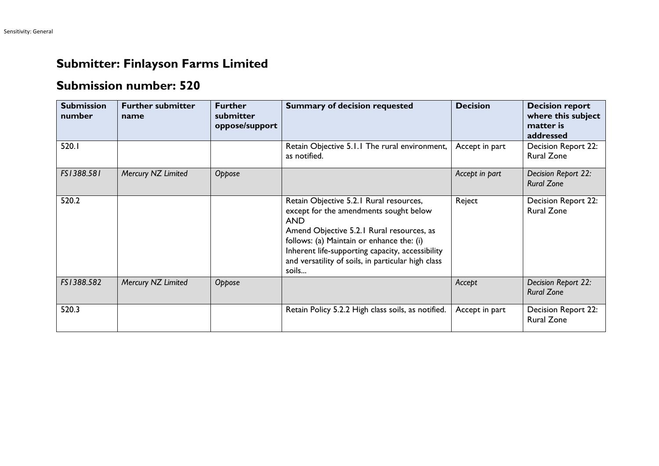## **Submitter: Finlayson Farms Limited**

## **Submission number: 520**

| <b>Submission</b><br>number | <b>Further submitter</b><br>name | <b>Further</b><br>submitter<br>oppose/support | <b>Summary of decision requested</b>                                                                                                                                                                                                                                                                         | <b>Decision</b> | <b>Decision report</b><br>where this subject<br>matter is<br>addressed |
|-----------------------------|----------------------------------|-----------------------------------------------|--------------------------------------------------------------------------------------------------------------------------------------------------------------------------------------------------------------------------------------------------------------------------------------------------------------|-----------------|------------------------------------------------------------------------|
| 520.1                       |                                  |                                               | Retain Objective 5.1.1 The rural environment,<br>as notified.                                                                                                                                                                                                                                                | Accept in part  | Decision Report 22:<br><b>Rural Zone</b>                               |
| FS1388.581                  | Mercury NZ Limited               | Oppose                                        |                                                                                                                                                                                                                                                                                                              | Accept in part  | Decision Report 22:<br><b>Rural Zone</b>                               |
| 520.2                       |                                  |                                               | Retain Objective 5.2.1 Rural resources,<br>except for the amendments sought below<br><b>AND</b><br>Amend Objective 5.2.1 Rural resources, as<br>follows: (a) Maintain or enhance the: (i)<br>Inherent life-supporting capacity, accessibility<br>and versatility of soils, in particular high class<br>soils | Reject          | Decision Report 22:<br><b>Rural Zone</b>                               |
| FS1388.582                  | Mercury NZ Limited               | Oppose                                        |                                                                                                                                                                                                                                                                                                              | Accept          | Decision Report 22:<br><b>Rural Zone</b>                               |
| 520.3                       |                                  |                                               | Retain Policy 5.2.2 High class soils, as notified.                                                                                                                                                                                                                                                           | Accept in part  | Decision Report 22:<br><b>Rural Zone</b>                               |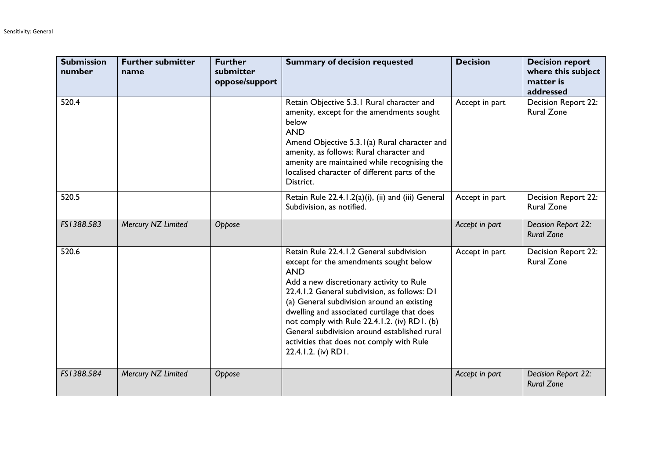| <b>Submission</b><br>number | <b>Further submitter</b><br>name | <b>Further</b><br>submitter<br>oppose/support | <b>Summary of decision requested</b>                                                                                                                                                                                                                                                                                                                                                                                                                          | <b>Decision</b> | <b>Decision report</b><br>where this subject<br>matter is<br>addressed |
|-----------------------------|----------------------------------|-----------------------------------------------|---------------------------------------------------------------------------------------------------------------------------------------------------------------------------------------------------------------------------------------------------------------------------------------------------------------------------------------------------------------------------------------------------------------------------------------------------------------|-----------------|------------------------------------------------------------------------|
| 520.4                       |                                  |                                               | Retain Objective 5.3.1 Rural character and<br>amenity, except for the amendments sought<br>below<br><b>AND</b><br>Amend Objective 5.3.1(a) Rural character and<br>amenity, as follows: Rural character and<br>amenity are maintained while recognising the<br>localised character of different parts of the<br>District.                                                                                                                                      | Accept in part  | Decision Report 22:<br><b>Rural Zone</b>                               |
| 520.5                       |                                  |                                               | Retain Rule 22.4.1.2(a)(i), (ii) and (iii) General<br>Subdivision, as notified.                                                                                                                                                                                                                                                                                                                                                                               | Accept in part  | Decision Report 22:<br><b>Rural Zone</b>                               |
| FS1388.583                  | Mercury NZ Limited               | Oppose                                        |                                                                                                                                                                                                                                                                                                                                                                                                                                                               | Accept in part  | Decision Report 22:<br><b>Rural Zone</b>                               |
| 520.6                       |                                  |                                               | Retain Rule 22.4.1.2 General subdivision<br>except for the amendments sought below<br><b>AND</b><br>Add a new discretionary activity to Rule<br>22.4.1.2 General subdivision, as follows: D1<br>(a) General subdivision around an existing<br>dwelling and associated curtilage that does<br>not comply with Rule 22.4.1.2. (iv) RD1. (b)<br>General subdivision around established rural<br>activities that does not comply with Rule<br>22.4.1.2. (iv) RD1. | Accept in part  | Decision Report 22:<br><b>Rural Zone</b>                               |
| FS1388.584                  | Mercury NZ Limited               | Oppose                                        |                                                                                                                                                                                                                                                                                                                                                                                                                                                               | Accept in part  | Decision Report 22:<br><b>Rural Zone</b>                               |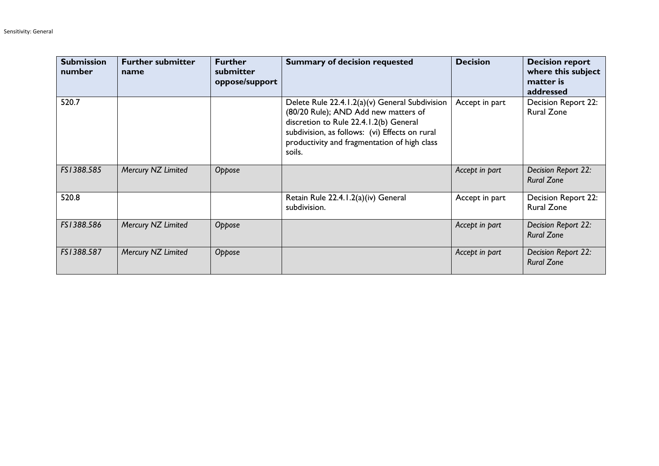| <b>Submission</b><br>number | <b>Further submitter</b><br>name | <b>Further</b><br>submitter<br>oppose/support | <b>Summary of decision requested</b>                                                                                                                                                                                                         | <b>Decision</b> | <b>Decision report</b><br>where this subject<br>matter is<br>addressed |
|-----------------------------|----------------------------------|-----------------------------------------------|----------------------------------------------------------------------------------------------------------------------------------------------------------------------------------------------------------------------------------------------|-----------------|------------------------------------------------------------------------|
| 520.7                       |                                  |                                               | Delete Rule 22.4.1.2(a)(v) General Subdivision<br>(80/20 Rule); AND Add new matters of<br>discretion to Rule 22.4.1.2(b) General<br>subdivision, as follows: (vi) Effects on rural<br>productivity and fragmentation of high class<br>soils. | Accept in part  | Decision Report 22:<br><b>Rural Zone</b>                               |
| FS1388.585                  | Mercury NZ Limited               | Oppose                                        |                                                                                                                                                                                                                                              | Accept in part  | Decision Report 22:<br><b>Rural Zone</b>                               |
| 520.8                       |                                  |                                               | Retain Rule 22.4.1.2(a)(iv) General<br>subdivision.                                                                                                                                                                                          | Accept in part  | Decision Report 22:<br><b>Rural Zone</b>                               |
| FS1388.586                  | Mercury NZ Limited               | Oppose                                        |                                                                                                                                                                                                                                              | Accept in part  | Decision Report 22:<br><b>Rural Zone</b>                               |
| FS1388.587                  | Mercury NZ Limited               | Oppose                                        |                                                                                                                                                                                                                                              | Accept in part  | Decision Report 22:<br><b>Rural Zone</b>                               |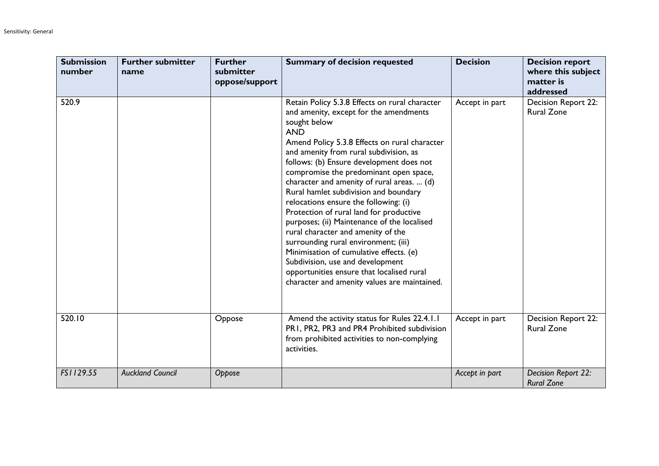| <b>Submission</b><br>number | <b>Further submitter</b><br>name | <b>Further</b><br>submitter<br>oppose/support | <b>Summary of decision requested</b>                                                                                                                                                                                                                                                                                                                                                                                                                                                                                                                                                                                                                                                                                                                                                        | <b>Decision</b> | <b>Decision report</b><br>where this subject<br>matter is<br>addressed |
|-----------------------------|----------------------------------|-----------------------------------------------|---------------------------------------------------------------------------------------------------------------------------------------------------------------------------------------------------------------------------------------------------------------------------------------------------------------------------------------------------------------------------------------------------------------------------------------------------------------------------------------------------------------------------------------------------------------------------------------------------------------------------------------------------------------------------------------------------------------------------------------------------------------------------------------------|-----------------|------------------------------------------------------------------------|
| 520.9                       |                                  |                                               | Retain Policy 5.3.8 Effects on rural character<br>and amenity, except for the amendments<br>sought below<br><b>AND</b><br>Amend Policy 5.3.8 Effects on rural character<br>and amenity from rural subdivision, as<br>follows: (b) Ensure development does not<br>compromise the predominant open space,<br>character and amenity of rural areas.  (d)<br>Rural hamlet subdivision and boundary<br>relocations ensure the following: (i)<br>Protection of rural land for productive<br>purposes; (ii) Maintenance of the localised<br>rural character and amenity of the<br>surrounding rural environment; (iii)<br>Minimisation of cumulative effects. (e)<br>Subdivision, use and development<br>opportunities ensure that localised rural<br>character and amenity values are maintained. | Accept in part  | Decision Report 22:<br><b>Rural Zone</b>                               |
| 520.10                      |                                  | Oppose                                        | Amend the activity status for Rules 22.4.1.1<br>PR1, PR2, PR3 and PR4 Prohibited subdivision<br>from prohibited activities to non-complying<br>activities.                                                                                                                                                                                                                                                                                                                                                                                                                                                                                                                                                                                                                                  | Accept in part  | Decision Report 22:<br><b>Rural Zone</b>                               |
| FS1129.55                   | <b>Auckland Council</b>          | Oppose                                        |                                                                                                                                                                                                                                                                                                                                                                                                                                                                                                                                                                                                                                                                                                                                                                                             | Accept in part  | Decision Report 22:<br><b>Rural Zone</b>                               |